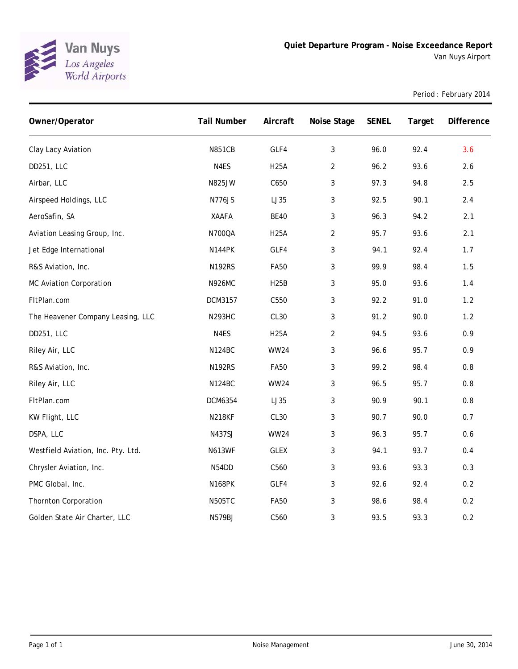

Period : February 2014

| Owner/Operator                     | <b>Tail Number</b> | Aircraft    | Noise Stage    | <b>SENEL</b> | Target | Difference |
|------------------------------------|--------------------|-------------|----------------|--------------|--------|------------|
| Clay Lacy Aviation                 | <b>N851CB</b>      | GLF4        | 3              | 96.0         | 92.4   | 3.6        |
| DD251, LLC                         | N4ES               | <b>H25A</b> | $\overline{2}$ | 96.2         | 93.6   | 2.6        |
| Airbar, LLC                        | N825JW             | C650        | 3              | 97.3         | 94.8   | 2.5        |
| Airspeed Holdings, LLC             | N776JS             | LJ35        | 3              | 92.5         | 90.1   | 2.4        |
| AeroSafin, SA                      | <b>XAAFA</b>       | <b>BE40</b> | 3              | 96.3         | 94.2   | 2.1        |
| Aviation Leasing Group, Inc.       | N700QA             | <b>H25A</b> | $\overline{2}$ | 95.7         | 93.6   | 2.1        |
| Jet Edge International             | <b>N144PK</b>      | GLF4        | 3              | 94.1         | 92.4   | 1.7        |
| R&S Aviation, Inc.                 | <b>N192RS</b>      | <b>FA50</b> | 3              | 99.9         | 98.4   | 1.5        |
| MC Aviation Corporation            | <b>N926MC</b>      | <b>H25B</b> | 3              | 95.0         | 93.6   | 1.4        |
| FItPlan.com                        | DCM3157            | C550        | 3              | 92.2         | 91.0   | $1.2$      |
| The Heavener Company Leasing, LLC  | <b>N293HC</b>      | CL30        | 3              | 91.2         | 90.0   | 1.2        |
| DD251, LLC                         | N4ES               | <b>H25A</b> | $\overline{2}$ | 94.5         | 93.6   | 0.9        |
| Riley Air, LLC                     | <b>N124BC</b>      | <b>WW24</b> | 3              | 96.6         | 95.7   | 0.9        |
| R&S Aviation, Inc.                 | <b>N192RS</b>      | <b>FA50</b> | 3              | 99.2         | 98.4   | $0.8\,$    |
| Riley Air, LLC                     | <b>N124BC</b>      | <b>WW24</b> | 3              | 96.5         | 95.7   | $0.8\,$    |
| FItPlan.com                        | <b>DCM6354</b>     | LJ35        | 3              | 90.9         | 90.1   | $0.8\,$    |
| KW Flight, LLC                     | <b>N218KF</b>      | CL30        | 3              | 90.7         | 90.0   | 0.7        |
| DSPA, LLC                          | N437SJ             | <b>WW24</b> | 3              | 96.3         | 95.7   | 0.6        |
| Westfield Aviation, Inc. Pty. Ltd. | <b>N613WF</b>      | <b>GLEX</b> | 3              | 94.1         | 93.7   | 0.4        |
| Chrysler Aviation, Inc.            | N54DD              | C560        | 3              | 93.6         | 93.3   | 0.3        |
| PMC Global, Inc.                   | <b>N168PK</b>      | GLF4        | 3              | 92.6         | 92.4   | 0.2        |
| <b>Thornton Corporation</b>        | <b>N505TC</b>      | <b>FA50</b> | 3              | 98.6         | 98.4   | $0.2\,$    |
| Golden State Air Charter, LLC      | <b>N579BJ</b>      | C560        | 3              | 93.5         | 93.3   | 0.2        |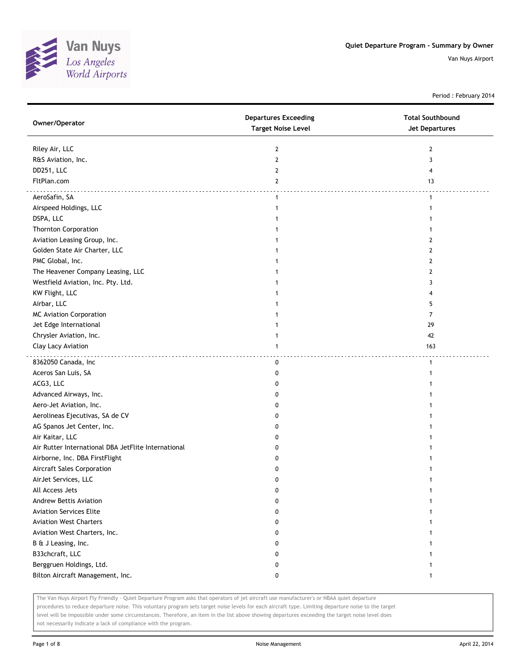

Period : February 2014

| Owner/Operator                                      | <b>Departures Exceeding</b><br><b>Target Noise Level</b> | <b>Total Southbound</b><br><b>Jet Departures</b> |
|-----------------------------------------------------|----------------------------------------------------------|--------------------------------------------------|
| Riley Air, LLC                                      | $\mathbf{2}$                                             | 2                                                |
| R&S Aviation, Inc.                                  | 2                                                        | 3                                                |
| DD251, LLC                                          | $\mathbf{2}$                                             | 4                                                |
| FltPlan.com                                         | $\overline{2}$                                           | 13                                               |
| AeroSafin, SA                                       | $\mathbf{1}$                                             | 1                                                |
| Airspeed Holdings, LLC                              | $\mathbf{1}$                                             |                                                  |
| DSPA, LLC                                           |                                                          |                                                  |
| <b>Thornton Corporation</b>                         |                                                          |                                                  |
| Aviation Leasing Group, Inc.                        |                                                          | 2                                                |
| Golden State Air Charter, LLC                       |                                                          | 2                                                |
| PMC Global, Inc.                                    |                                                          | 2                                                |
| The Heavener Company Leasing, LLC                   |                                                          | 2                                                |
| Westfield Aviation, Inc. Pty. Ltd.                  |                                                          | 3                                                |
| KW Flight, LLC                                      |                                                          |                                                  |
| Airbar, LLC                                         |                                                          | 5                                                |
| <b>MC Aviation Corporation</b>                      |                                                          | 7                                                |
| Jet Edge International                              |                                                          | 29                                               |
| Chrysler Aviation, Inc.                             |                                                          | 42                                               |
| Clay Lacy Aviation                                  | 1                                                        | 163                                              |
| 8362050 Canada, Inc                                 | 0                                                        | $\mathbf{1}$                                     |
| Aceros San Luis, SA                                 | 0                                                        |                                                  |
| ACG3, LLC                                           | 0                                                        |                                                  |
| Advanced Airways, Inc.                              | 0                                                        |                                                  |
| Aero-Jet Aviation, Inc.                             | 0                                                        |                                                  |
| Aerolineas Ejecutivas, SA de CV                     | 0                                                        |                                                  |
| AG Spanos Jet Center, Inc.                          | 0                                                        |                                                  |
| Air Kaitar, LLC                                     | 0                                                        |                                                  |
| Air Rutter International DBA JetFlite International | 0                                                        |                                                  |
| Airborne, Inc. DBA FirstFlight                      | 0                                                        |                                                  |
| Aircraft Sales Corporation                          | 0                                                        |                                                  |
| AirJet Services, LLC                                | 0                                                        |                                                  |
| All Access Jets                                     | $\pmb{0}$                                                |                                                  |
| <b>Andrew Bettis Aviation</b>                       | 0                                                        |                                                  |
| <b>Aviation Services Elite</b>                      | 0                                                        |                                                  |
| <b>Aviation West Charters</b>                       | 0                                                        |                                                  |
| Aviation West Charters, Inc.                        | 0                                                        |                                                  |
| B & J Leasing, Inc.                                 | 0                                                        |                                                  |
| B33chcraft, LLC                                     | 0                                                        |                                                  |
| Berggruen Holdings, Ltd.                            | 0                                                        |                                                  |
| Bilton Aircraft Management, Inc.                    | 0                                                        |                                                  |

The Van Nuys Airport Fly Friendly - Quiet Departure Program asks that operators of jet aircraft use manufacturer's or NBAA quiet departure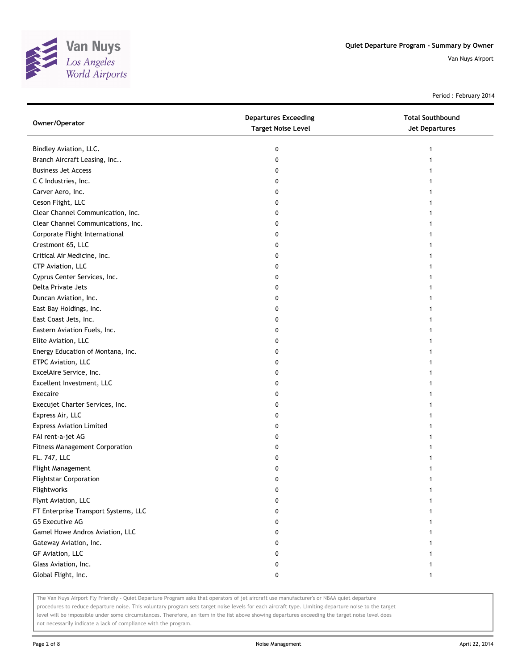

Period : February 2014

| Owner/Operator                        | <b>Departures Exceeding</b><br><b>Target Noise Level</b> | <b>Total Southbound</b><br><b>Jet Departures</b> |
|---------------------------------------|----------------------------------------------------------|--------------------------------------------------|
| Bindley Aviation, LLC.                | 0                                                        | 1                                                |
| Branch Aircraft Leasing, Inc          | 0                                                        |                                                  |
| <b>Business Jet Access</b>            | 0                                                        |                                                  |
| C C Industries, Inc.                  | 0                                                        |                                                  |
| Carver Aero, Inc.                     | 0                                                        |                                                  |
| Ceson Flight, LLC                     | 0                                                        |                                                  |
| Clear Channel Communication, Inc.     | 0                                                        |                                                  |
| Clear Channel Communications, Inc.    | 0                                                        | 1                                                |
| Corporate Flight International        | 0                                                        |                                                  |
| Crestmont 65, LLC                     | 0                                                        |                                                  |
| Critical Air Medicine, Inc.           | 0                                                        |                                                  |
| CTP Aviation, LLC                     | 0                                                        |                                                  |
| Cyprus Center Services, Inc.          | 0                                                        |                                                  |
| Delta Private Jets                    | 0                                                        |                                                  |
| Duncan Aviation, Inc.                 | 0                                                        |                                                  |
| East Bay Holdings, Inc.               | 0                                                        |                                                  |
| East Coast Jets, Inc.                 | 0                                                        |                                                  |
| Eastern Aviation Fuels, Inc.          | 0                                                        | 1                                                |
| Elite Aviation, LLC                   | 0                                                        |                                                  |
| Energy Education of Montana, Inc.     | 0                                                        |                                                  |
| ETPC Aviation, LLC                    | 0                                                        |                                                  |
| ExcelAire Service, Inc.               | 0                                                        |                                                  |
| Excellent Investment, LLC             | 0                                                        |                                                  |
| Execaire                              | 0                                                        |                                                  |
| Execujet Charter Services, Inc.       | 0                                                        |                                                  |
| Express Air, LLC                      | 0                                                        |                                                  |
| <b>Express Aviation Limited</b>       | 0                                                        |                                                  |
| FAI rent-a-jet AG                     | 0                                                        |                                                  |
| <b>Fitness Management Corporation</b> | 0                                                        |                                                  |
| FL. 747, LLC                          | 0                                                        |                                                  |
| Flight Management                     | 0                                                        |                                                  |
| <b>Flightstar Corporation</b>         | 0                                                        |                                                  |
| Flightworks                           | U                                                        |                                                  |
| Flynt Aviation, LLC                   | 0                                                        |                                                  |
| FT Enterprise Transport Systems, LLC  | 0                                                        |                                                  |
| G5 Executive AG                       | 0                                                        |                                                  |
| Gamel Howe Andros Aviation, LLC       | 0                                                        |                                                  |
| Gateway Aviation, Inc.                | 0                                                        |                                                  |
| GF Aviation, LLC                      | 0                                                        |                                                  |
| Glass Aviation, Inc.                  | 0                                                        |                                                  |
| Global Flight, Inc.                   | 0                                                        | 1                                                |

The Van Nuys Airport Fly Friendly - Quiet Departure Program asks that operators of jet aircraft use manufacturer's or NBAA quiet departure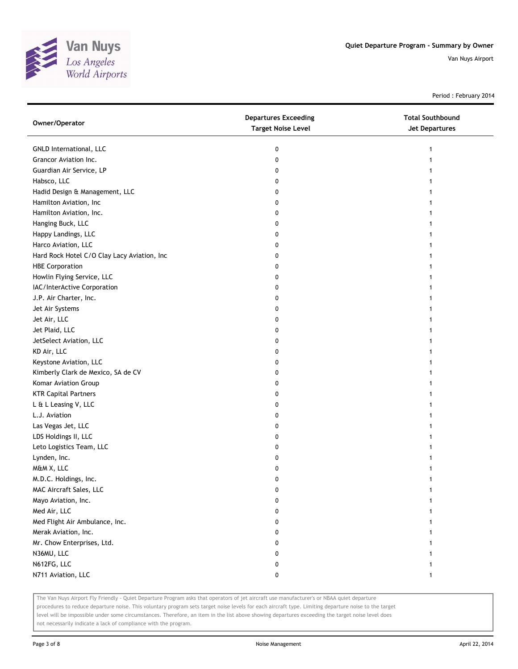

Period : February 2014

| Owner/Operator                              | <b>Departures Exceeding</b><br><b>Target Noise Level</b> | <b>Total Southbound</b><br><b>Jet Departures</b> |
|---------------------------------------------|----------------------------------------------------------|--------------------------------------------------|
| GNLD International, LLC                     | 0                                                        | 1                                                |
| Grancor Aviation Inc.                       | 0                                                        |                                                  |
| Guardian Air Service, LP                    | 0                                                        |                                                  |
| Habsco, LLC                                 | 0                                                        |                                                  |
| Hadid Design & Management, LLC              | 0                                                        |                                                  |
| Hamilton Aviation, Inc                      | 0                                                        |                                                  |
| Hamilton Aviation, Inc.                     | 0                                                        |                                                  |
| Hanging Buck, LLC                           | 0                                                        |                                                  |
| Happy Landings, LLC                         | 0                                                        |                                                  |
| Harco Aviation, LLC                         | 0                                                        |                                                  |
| Hard Rock Hotel C/O Clay Lacy Aviation, Inc | 0                                                        |                                                  |
| <b>HBE Corporation</b>                      | 0                                                        |                                                  |
| Howlin Flying Service, LLC                  | 0                                                        |                                                  |
| IAC/InterActive Corporation                 | 0                                                        |                                                  |
| J.P. Air Charter, Inc.                      | 0                                                        |                                                  |
| Jet Air Systems                             | 0                                                        |                                                  |
| Jet Air, LLC                                | 0                                                        |                                                  |
| Jet Plaid, LLC                              | 0                                                        |                                                  |
| JetSelect Aviation, LLC                     | 0                                                        |                                                  |
| KD Air, LLC                                 | 0                                                        |                                                  |
| Keystone Aviation, LLC                      | 0                                                        |                                                  |
| Kimberly Clark de Mexico, SA de CV          | 0                                                        |                                                  |
| Komar Aviation Group                        | 0                                                        |                                                  |
| <b>KTR Capital Partners</b>                 | 0                                                        |                                                  |
| L & L Leasing V, LLC                        | 0                                                        |                                                  |
| L.J. Aviation                               | 0                                                        |                                                  |
| Las Vegas Jet, LLC                          | 0                                                        |                                                  |
| LDS Holdings II, LLC                        | 0                                                        |                                                  |
| Leto Logistics Team, LLC                    | 0                                                        |                                                  |
| Lynden, Inc.                                | 0                                                        |                                                  |
| M&M X, LLC                                  | 0                                                        |                                                  |
| M.D.C. Holdings, Inc.                       | 0                                                        |                                                  |
| MAC Aircraft Sales, LLC                     | U                                                        |                                                  |
| Mayo Aviation, Inc.                         | 0                                                        |                                                  |
| Med Air, LLC                                | 0                                                        |                                                  |
| Med Flight Air Ambulance, Inc.              | 0                                                        |                                                  |
| Merak Aviation, Inc.                        | 0                                                        |                                                  |
| Mr. Chow Enterprises, Ltd.                  | 0                                                        |                                                  |
| N36MU, LLC                                  | 0                                                        |                                                  |
| N612FG, LLC                                 | 0                                                        |                                                  |
| N711 Aviation, LLC                          | 0                                                        | 1                                                |

The Van Nuys Airport Fly Friendly - Quiet Departure Program asks that operators of jet aircraft use manufacturer's or NBAA quiet departure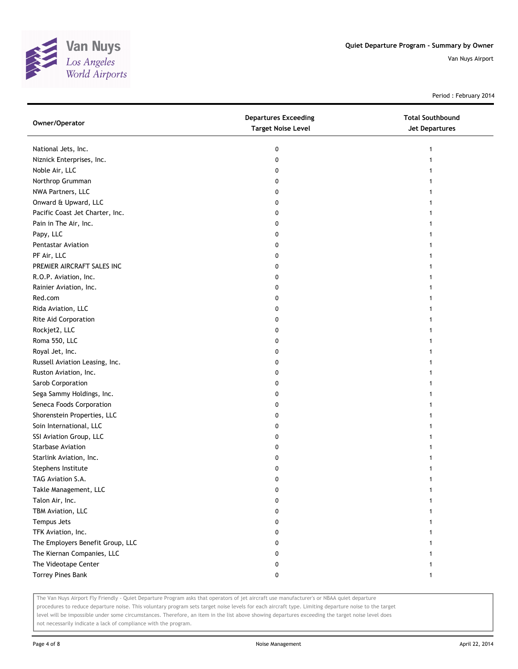

Period : February 2014

| Owner/Operator                   | <b>Departures Exceeding</b><br><b>Target Noise Level</b> | <b>Total Southbound</b><br><b>Jet Departures</b> |
|----------------------------------|----------------------------------------------------------|--------------------------------------------------|
| National Jets, Inc.              | 0                                                        |                                                  |
| Niznick Enterprises, Inc.        | 0                                                        |                                                  |
| Noble Air, LLC                   | 0                                                        |                                                  |
| Northrop Grumman                 | 0                                                        |                                                  |
| NWA Partners, LLC                | 0                                                        |                                                  |
| Onward & Upward, LLC             | 0                                                        |                                                  |
| Pacific Coast Jet Charter, Inc.  | 0                                                        |                                                  |
| Pain in The Air, Inc.            | 0                                                        |                                                  |
| Papy, LLC                        | 0                                                        |                                                  |
| Pentastar Aviation               | 0                                                        |                                                  |
| PF Air, LLC                      | 0                                                        |                                                  |
| PREMIER AIRCRAFT SALES INC       | 0                                                        |                                                  |
| R.O.P. Aviation, Inc.            | 0                                                        |                                                  |
| Rainier Aviation, Inc.           | 0                                                        |                                                  |
| Red.com                          | 0                                                        |                                                  |
| Rida Aviation, LLC               | 0                                                        |                                                  |
| Rite Aid Corporation             | 0                                                        |                                                  |
| Rockjet2, LLC                    | 0                                                        |                                                  |
| Roma 550, LLC                    | 0                                                        |                                                  |
| Royal Jet, Inc.                  | 0                                                        |                                                  |
| Russell Aviation Leasing, Inc.   | 0                                                        |                                                  |
| Ruston Aviation, Inc.            | 0                                                        |                                                  |
| Sarob Corporation                | 0                                                        |                                                  |
| Sega Sammy Holdings, Inc.        | 0                                                        |                                                  |
| Seneca Foods Corporation         | 0                                                        |                                                  |
| Shorenstein Properties, LLC      | 0                                                        |                                                  |
| Soin International, LLC          | 0                                                        |                                                  |
| SSI Aviation Group, LLC          | 0                                                        |                                                  |
| <b>Starbase Aviation</b>         | 0                                                        |                                                  |
| Starlink Aviation, Inc.          | 0                                                        |                                                  |
| Stephens Institute               | 0                                                        |                                                  |
| TAG Aviation S.A.                | 0                                                        |                                                  |
| Takle Management, LLC            | 0                                                        |                                                  |
| Talon Air, Inc.                  | 0                                                        |                                                  |
| TBM Aviation, LLC                | 0                                                        |                                                  |
| Tempus Jets                      | 0                                                        |                                                  |
| TFK Aviation, Inc.               | 0                                                        |                                                  |
| The Employers Benefit Group, LLC | 0                                                        |                                                  |
| The Kiernan Companies, LLC       | 0                                                        |                                                  |
| The Videotape Center             | 0                                                        | 1                                                |
| <b>Torrey Pines Bank</b>         | 0                                                        | 1                                                |

The Van Nuys Airport Fly Friendly - Quiet Departure Program asks that operators of jet aircraft use manufacturer's or NBAA quiet departure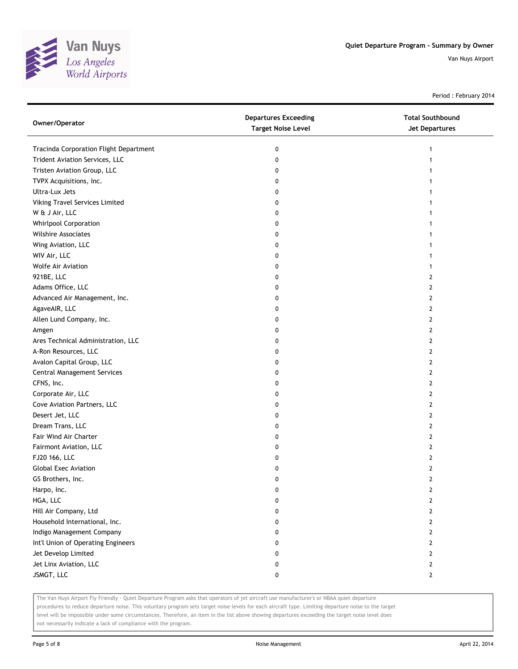

Period : February 2014

| Owner/Operator                         | <b>Departures Exceeding</b><br><b>Target Noise Level</b> | <b>Total Southbound</b><br><b>Jet Departures</b> |
|----------------------------------------|----------------------------------------------------------|--------------------------------------------------|
| Tracinda Corporation Flight Department | 0                                                        | 1                                                |
| Trident Aviation Services, LLC         | 0                                                        |                                                  |
| Tristen Aviation Group, LLC            | 0                                                        |                                                  |
| TVPX Acquisitions, Inc.                | 0                                                        |                                                  |
| Ultra-Lux Jets                         | 0                                                        |                                                  |
| Viking Travel Services Limited         | 0                                                        |                                                  |
| W & J Air, LLC                         | 0                                                        |                                                  |
| <b>Whirlpool Corporation</b>           | 0                                                        |                                                  |
| Wilshire Associates                    | 0                                                        |                                                  |
| Wing Aviation, LLC                     | 0                                                        |                                                  |
| WIV Air, LLC                           | 0                                                        |                                                  |
| Wolfe Air Aviation                     | 0                                                        |                                                  |
| 921BE, LLC                             | 0                                                        | 2                                                |
| Adams Office, LLC                      | 0                                                        | 2                                                |
| Advanced Air Management, Inc.          | 0                                                        | 2                                                |
| AgaveAIR, LLC                          | 0                                                        | 2                                                |
| Allen Lund Company, Inc.               | 0                                                        | $\mathbf{2}$                                     |
| Amgen                                  | 0                                                        | 2                                                |
| Ares Technical Administration, LLC     | 0                                                        | 2                                                |
| A-Ron Resources, LLC                   | 0                                                        | 2                                                |
| Avalon Capital Group, LLC              | 0                                                        | 2                                                |
| Central Management Services            | 0                                                        | 2                                                |
| CFNS, Inc.                             | 0                                                        | 2                                                |
| Corporate Air, LLC                     | 0                                                        | 2                                                |
| Cove Aviation Partners, LLC            | 0                                                        | 2                                                |
| Desert Jet, LLC                        | 0                                                        | $\overline{2}$                                   |
| Dream Trans, LLC                       | 0                                                        | $\mathbf{2}$                                     |
| Fair Wind Air Charter                  | 0                                                        | 2                                                |
| Fairmont Aviation, LLC                 | 0                                                        | 2                                                |
| FJ20 166, LLC                          | 0                                                        | 2                                                |
| <b>Global Exec Aviation</b>            | 0                                                        | 2                                                |
| GS Brothers, Inc.                      | 0                                                        | 2                                                |
| Harpo, Inc.                            | 0                                                        | 2                                                |
| HGA, LLC                               | 0                                                        | 2                                                |
| Hill Air Company, Ltd                  | 0                                                        | $\mathbf{2}$                                     |
| Household International, Inc.          | 0                                                        | $\mathbf{2}$                                     |
| Indigo Management Company              | 0                                                        | $\mathbf{2}$                                     |
| Int'l Union of Operating Engineers     | 0                                                        | 2                                                |
| Jet Develop Limited                    | 0                                                        | 2                                                |
| Jet Linx Aviation, LLC                 | 0                                                        | 2                                                |
| JSMGT, LLC                             | 0                                                        | $\mathbf{2}$                                     |

The Van Nuys Airport Fly Friendly - Quiet Departure Program asks that operators of jet aircraft use manufacturer's or NBAA quiet departure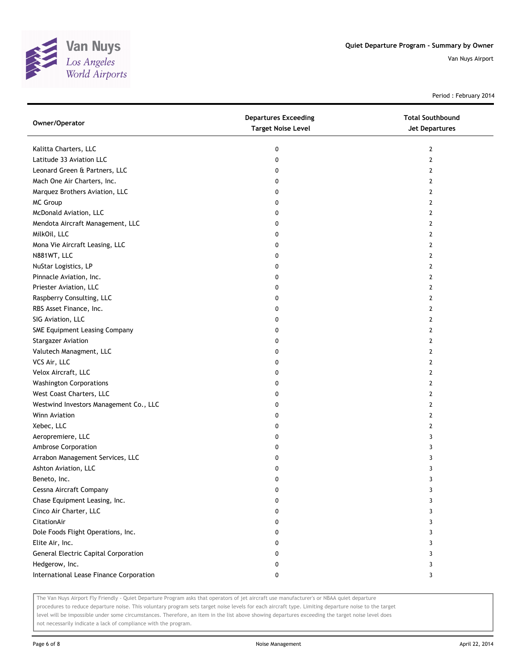

Period : February 2014

| Owner/Operator                          | <b>Departures Exceeding</b><br><b>Target Noise Level</b> | <b>Total Southbound</b><br>Jet Departures |
|-----------------------------------------|----------------------------------------------------------|-------------------------------------------|
| Kalitta Charters, LLC                   | 0                                                        | $\mathbf{2}$                              |
| Latitude 33 Aviation LLC                | 0                                                        | $\overline{2}$                            |
| Leonard Green & Partners, LLC           | 0                                                        | 2                                         |
| Mach One Air Charters, Inc.             | 0                                                        | 2                                         |
| Marquez Brothers Aviation, LLC          | 0                                                        | 2                                         |
| MC Group                                | 0                                                        | $\overline{2}$                            |
| McDonald Aviation, LLC                  | 0                                                        | 2                                         |
| Mendota Aircraft Management, LLC        | 0                                                        | 2                                         |
| MilkOil, LLC                            | 0                                                        | 2                                         |
| Mona Vie Aircraft Leasing, LLC          | 0                                                        | $\overline{2}$                            |
| N881WT, LLC                             | 0                                                        | $\overline{2}$                            |
| NuStar Logistics, LP                    | 0                                                        | $\overline{2}$                            |
| Pinnacle Aviation, Inc.                 | 0                                                        | $\overline{2}$                            |
| Priester Aviation, LLC                  | 0                                                        | $\mathbf{2}$                              |
| Raspberry Consulting, LLC               | 0                                                        | 2                                         |
| RBS Asset Finance, Inc.                 | 0                                                        | $\mathbf{2}$                              |
| SIG Aviation, LLC                       | 0                                                        | 2                                         |
| SME Equipment Leasing Company           | 0                                                        | 2                                         |
| <b>Stargazer Aviation</b>               | 0                                                        | 2                                         |
| Valutech Managment, LLC                 | 0                                                        | 2                                         |
| VCS Air, LLC                            | 0                                                        | $\mathbf{2}$                              |
| Velox Aircraft, LLC                     | 0                                                        | $\mathbf{2}$                              |
| <b>Washington Corporations</b>          | 0                                                        | $\mathbf{2}$                              |
| West Coast Charters, LLC                | 0                                                        | $\mathbf{2}$                              |
| Westwind Investors Management Co., LLC  | 0                                                        | 2                                         |
| Winn Aviation                           | 0                                                        | $\mathbf{2}$                              |
| Xebec, LLC                              | 0                                                        | 2                                         |
| Aeropremiere, LLC                       | 0                                                        | 3                                         |
| Ambrose Corporation                     | 0                                                        | 3                                         |
| Arrabon Management Services, LLC        | 0                                                        | 3                                         |
| Ashton Aviation, LLC                    | 0                                                        | 3                                         |
| Beneto, Inc.                            | 0                                                        | 3                                         |
| Cessna Aircraft Company                 | 0                                                        | 3                                         |
| Chase Equipment Leasing, Inc.           | 0                                                        | 3                                         |
| Cinco Air Charter, LLC                  | 0                                                        | 3                                         |
| CitationAir                             | 0                                                        | 3                                         |
| Dole Foods Flight Operations, Inc.      | 0                                                        | 3                                         |
| Elite Air, Inc.                         | 0                                                        | 3                                         |
| General Electric Capital Corporation    | 0                                                        | 3                                         |
| Hedgerow, Inc.                          | 0                                                        | 3                                         |
| International Lease Finance Corporation | 0                                                        | 3                                         |

The Van Nuys Airport Fly Friendly - Quiet Departure Program asks that operators of jet aircraft use manufacturer's or NBAA quiet departure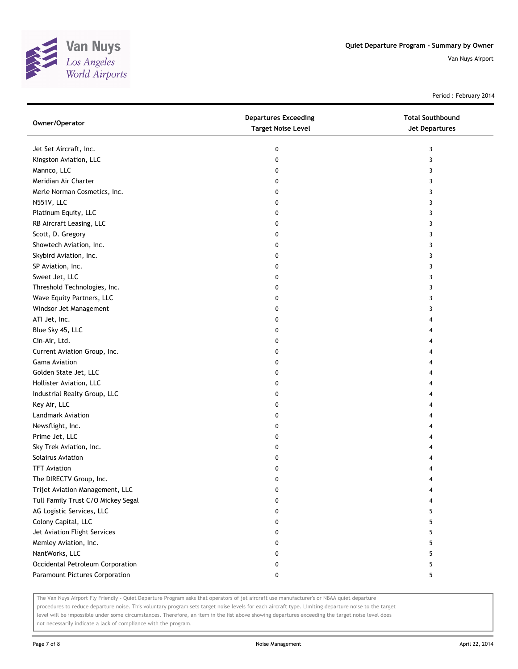

Period : February 2014

| Owner/Operator                     | <b>Departures Exceeding</b><br><b>Target Noise Level</b> | <b>Total Southbound</b><br><b>Jet Departures</b> |
|------------------------------------|----------------------------------------------------------|--------------------------------------------------|
| Jet Set Aircraft, Inc.             | 0                                                        | 3                                                |
| Kingston Aviation, LLC             | 0                                                        | 3                                                |
| Mannco, LLC                        | 0                                                        | 3                                                |
| Meridian Air Charter               | 0                                                        | 3                                                |
| Merle Norman Cosmetics, Inc.       | 0                                                        | 3                                                |
| N551V, LLC                         | 0                                                        | 3                                                |
| Platinum Equity, LLC               | 0                                                        | 3                                                |
| RB Aircraft Leasing, LLC           | 0                                                        | 3                                                |
| Scott, D. Gregory                  | 0                                                        | 3                                                |
| Showtech Aviation, Inc.            | 0                                                        | 3                                                |
| Skybird Aviation, Inc.             | 0                                                        | 3                                                |
| SP Aviation, Inc.                  | 0                                                        | 3                                                |
| Sweet Jet, LLC                     | 0                                                        | 3                                                |
| Threshold Technologies, Inc.       | 0                                                        | 3                                                |
| Wave Equity Partners, LLC          | 0                                                        | 3                                                |
| Windsor Jet Management             | 0                                                        | 3                                                |
| ATI Jet, Inc.                      | 0                                                        | 4                                                |
| Blue Sky 45, LLC                   | 0                                                        | 4                                                |
| Cin-Air, Ltd.                      | 0                                                        | 4                                                |
| Current Aviation Group, Inc.       | 0                                                        | 4                                                |
| Gama Aviation                      | 0                                                        | 4                                                |
| Golden State Jet, LLC              | 0                                                        | 4                                                |
| Hollister Aviation, LLC            | 0                                                        | 4                                                |
| Industrial Realty Group, LLC       | 0                                                        | 4                                                |
| Key Air, LLC                       | 0                                                        | 4                                                |
| Landmark Aviation                  | 0                                                        | 4                                                |
| Newsflight, Inc.                   | 0                                                        | 4                                                |
| Prime Jet, LLC                     | 0                                                        | 4                                                |
| Sky Trek Aviation, Inc.            | 0                                                        | 4                                                |
| Solairus Aviation                  | 0                                                        | 4                                                |
| <b>TFT Aviation</b>                | 0                                                        | 4                                                |
| The DIRECTV Group, Inc.            | 0                                                        | 4                                                |
| Trijet Aviation Management, LLC    | 0                                                        | 4                                                |
| Tull Family Trust C/O Mickey Segal | 0                                                        |                                                  |
| AG Logistic Services, LLC          | 0                                                        | 5                                                |
| Colony Capital, LLC                | 0                                                        | 5                                                |
| Jet Aviation Flight Services       | 0                                                        | 5                                                |
| Memley Aviation, Inc.              | 0                                                        | 5                                                |
| NantWorks, LLC                     | 0                                                        | 5                                                |
| Occidental Petroleum Corporation   | 0                                                        | 5                                                |
| Paramount Pictures Corporation     | 0                                                        | 5                                                |
|                                    |                                                          |                                                  |

The Van Nuys Airport Fly Friendly - Quiet Departure Program asks that operators of jet aircraft use manufacturer's or NBAA quiet departure